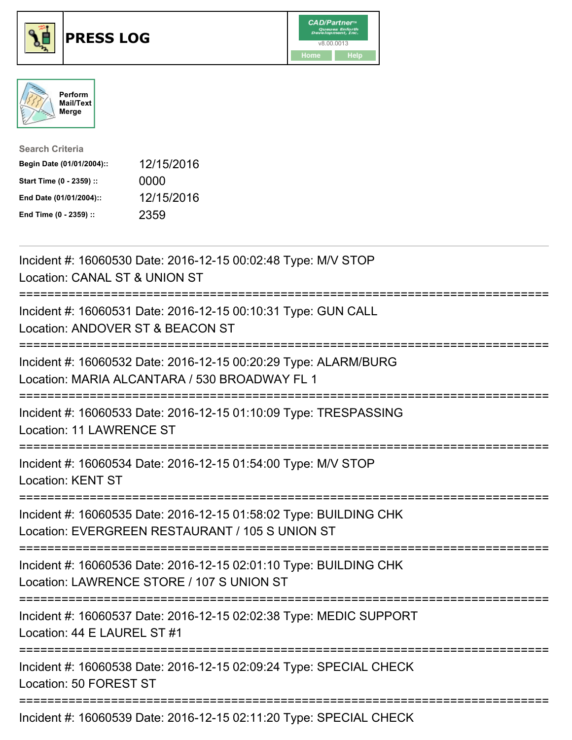

## **PRESS LOG** v8.00.0013





| <b>Search Criteria</b>    |            |
|---------------------------|------------|
| Begin Date (01/01/2004):: | 12/15/2016 |
| Start Time (0 - 2359) ::  | 0000       |
| End Date (01/01/2004)::   | 12/15/2016 |
| End Time (0 - 2359) ::    | 2359       |

Incident #: 16060530 Date: 2016-12-15 00:02:48 Type: M/V STOP Location: CANAL ST & UNION ST =========================================================================== Incident #: 16060531 Date: 2016-12-15 00:10:31 Type: GUN CALL Location: ANDOVER ST & BEACON ST =========================================================================== Incident #: 16060532 Date: 2016-12-15 00:20:29 Type: ALARM/BURG Location: MARIA ALCANTARA / 530 BROADWAY FL 1 =========================================================================== Incident #: 16060533 Date: 2016-12-15 01:10:09 Type: TRESPASSING Location: 11 LAWRENCE ST =========================================================================== Incident #: 16060534 Date: 2016-12-15 01:54:00 Type: M/V STOP Location: KENT ST =========================================================================== Incident #: 16060535 Date: 2016-12-15 01:58:02 Type: BUILDING CHK Location: EVERGREEN RESTAURANT / 105 S UNION ST =========================================================================== Incident #: 16060536 Date: 2016-12-15 02:01:10 Type: BUILDING CHK Location: LAWRENCE STORE / 107 S UNION ST =========================================================================== Incident #: 16060537 Date: 2016-12-15 02:02:38 Type: MEDIC SUPPORT Location: 44 E LAUREL ST #1 =========================================================================== Incident #: 16060538 Date: 2016-12-15 02:09:24 Type: SPECIAL CHECK Location: 50 FOREST ST =========================================================================== Incident #: 16060539 Date: 2016-12-15 02:11:20 Type: SPECIAL CHECK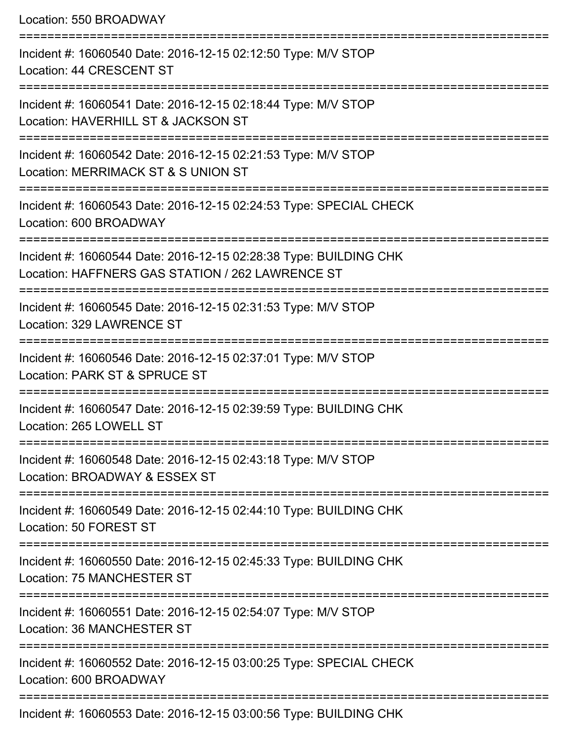Location: 550 BROADWAY =========================================================================== Incident #: 16060540 Date: 2016-12-15 02:12:50 Type: M/V STOP Location: 44 CRESCENT ST =========================================================================== Incident #: 16060541 Date: 2016-12-15 02:18:44 Type: M/V STOP Location: HAVERHILL ST & JACKSON ST =========================================================================== Incident #: 16060542 Date: 2016-12-15 02:21:53 Type: M/V STOP Location: MERRIMACK ST & S UNION ST =========================================================================== Incident #: 16060543 Date: 2016-12-15 02:24:53 Type: SPECIAL CHECK Location: 600 BROADWAY =========================================================================== Incident #: 16060544 Date: 2016-12-15 02:28:38 Type: BUILDING CHK Location: HAFFNERS GAS STATION / 262 LAWRENCE ST =========================================================================== Incident #: 16060545 Date: 2016-12-15 02:31:53 Type: M/V STOP Location: 329 LAWRENCE ST =========================================================================== Incident #: 16060546 Date: 2016-12-15 02:37:01 Type: M/V STOP Location: PARK ST & SPRUCE ST =========================================================================== Incident #: 16060547 Date: 2016-12-15 02:39:59 Type: BUILDING CHK Location: 265 LOWELL ST =========================================================================== Incident #: 16060548 Date: 2016-12-15 02:43:18 Type: M/V STOP Location: BROADWAY & ESSEX ST =========================================================================== Incident #: 16060549 Date: 2016-12-15 02:44:10 Type: BUILDING CHK Location: 50 FOREST ST =========================================================================== Incident #: 16060550 Date: 2016-12-15 02:45:33 Type: BUILDING CHK Location: 75 MANCHESTER ST =========================================================================== Incident #: 16060551 Date: 2016-12-15 02:54:07 Type: M/V STOP Location: 36 MANCHESTER ST =========================================================================== Incident #: 16060552 Date: 2016-12-15 03:00:25 Type: SPECIAL CHECK Location: 600 BROADWAY ===========================================================================

Incident #: 16060553 Date: 2016-12-15 03:00:56 Type: BUILDING CHK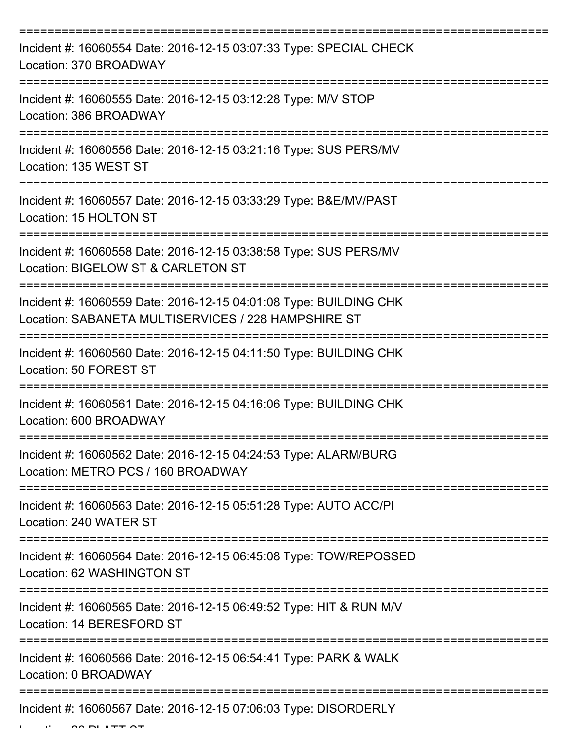| Incident #: 16060554 Date: 2016-12-15 03:07:33 Type: SPECIAL CHECK<br>Location: 370 BROADWAY                             |
|--------------------------------------------------------------------------------------------------------------------------|
| Incident #: 16060555 Date: 2016-12-15 03:12:28 Type: M/V STOP<br>Location: 386 BROADWAY                                  |
| Incident #: 16060556 Date: 2016-12-15 03:21:16 Type: SUS PERS/MV<br>Location: 135 WEST ST                                |
| Incident #: 16060557 Date: 2016-12-15 03:33:29 Type: B&E/MV/PAST<br>Location: 15 HOLTON ST                               |
| Incident #: 16060558 Date: 2016-12-15 03:38:58 Type: SUS PERS/MV<br>Location: BIGELOW ST & CARLETON ST                   |
| Incident #: 16060559 Date: 2016-12-15 04:01:08 Type: BUILDING CHK<br>Location: SABANETA MULTISERVICES / 228 HAMPSHIRE ST |
| Incident #: 16060560 Date: 2016-12-15 04:11:50 Type: BUILDING CHK<br>Location: 50 FOREST ST                              |
| Incident #: 16060561 Date: 2016-12-15 04:16:06 Type: BUILDING CHK<br>Location: 600 BROADWAY                              |
| Incident #: 16060562 Date: 2016-12-15 04:24:53 Type: ALARM/BURG<br>Location: METRO PCS / 160 BROADWAY                    |
| Incident #: 16060563 Date: 2016-12-15 05:51:28 Type: AUTO ACC/PI<br>Location: 240 WATER ST                               |
| Incident #: 16060564 Date: 2016-12-15 06:45:08 Type: TOW/REPOSSED<br>Location: 62 WASHINGTON ST                          |
| Incident #: 16060565 Date: 2016-12-15 06:49:52 Type: HIT & RUN M/V<br>Location: 14 BERESFORD ST                          |
| Incident #: 16060566 Date: 2016-12-15 06:54:41 Type: PARK & WALK<br>Location: 0 BROADWAY                                 |
| Incident #: 16060567 Date: 2016-12-15 07:06:03 Type: DISORDERLY                                                          |

 $L = L$ ....  $\Delta \Delta$  PLATT  $\Delta T$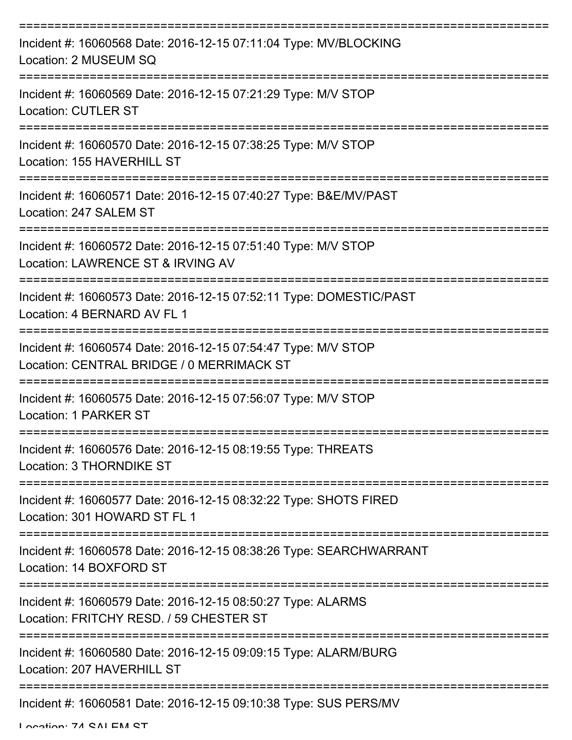| Incident #: 16060568 Date: 2016-12-15 07:11:04 Type: MV/BLOCKING<br>Location: 2 MUSEUM SQ                  |
|------------------------------------------------------------------------------------------------------------|
| Incident #: 16060569 Date: 2016-12-15 07:21:29 Type: M/V STOP<br><b>Location: CUTLER ST</b>                |
| Incident #: 16060570 Date: 2016-12-15 07:38:25 Type: M/V STOP<br>Location: 155 HAVERHILL ST                |
| Incident #: 16060571 Date: 2016-12-15 07:40:27 Type: B&E/MV/PAST<br>Location: 247 SALEM ST                 |
| Incident #: 16060572 Date: 2016-12-15 07:51:40 Type: M/V STOP<br>Location: LAWRENCE ST & IRVING AV         |
| Incident #: 16060573 Date: 2016-12-15 07:52:11 Type: DOMESTIC/PAST<br>Location: 4 BERNARD AV FL 1          |
| Incident #: 16060574 Date: 2016-12-15 07:54:47 Type: M/V STOP<br>Location: CENTRAL BRIDGE / 0 MERRIMACK ST |
| Incident #: 16060575 Date: 2016-12-15 07:56:07 Type: M/V STOP<br>Location: 1 PARKER ST                     |
| Incident #: 16060576 Date: 2016-12-15 08:19:55 Type: THREATS<br>Location: 3 THORNDIKE ST                   |
| Incident #: 16060577 Date: 2016-12-15 08:32:22 Type: SHOTS FIRED<br>Location: 301 HOWARD ST FL 1           |
| Incident #: 16060578 Date: 2016-12-15 08:38:26 Type: SEARCHWARRANT<br>Location: 14 BOXFORD ST              |
| Incident #: 16060579 Date: 2016-12-15 08:50:27 Type: ALARMS<br>Location: FRITCHY RESD. / 59 CHESTER ST     |
| Incident #: 16060580 Date: 2016-12-15 09:09:15 Type: ALARM/BURG<br>Location: 207 HAVERHILL ST              |
| Incident #: 16060581 Date: 2016-12-15 09:10:38 Type: SUS PERS/MV                                           |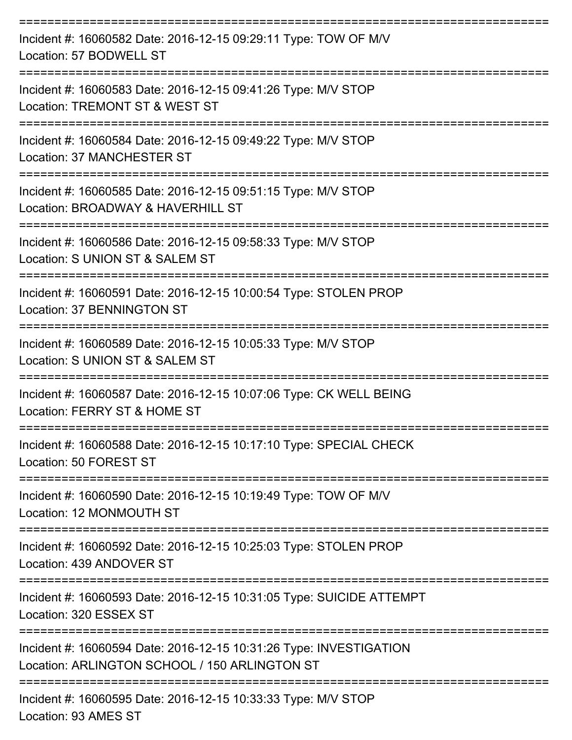| Incident #: 16060582 Date: 2016-12-15 09:29:11 Type: TOW OF M/V<br>Location: 57 BODWELL ST                          |
|---------------------------------------------------------------------------------------------------------------------|
| Incident #: 16060583 Date: 2016-12-15 09:41:26 Type: M/V STOP<br>Location: TREMONT ST & WEST ST                     |
| Incident #: 16060584 Date: 2016-12-15 09:49:22 Type: M/V STOP<br>Location: 37 MANCHESTER ST                         |
| Incident #: 16060585 Date: 2016-12-15 09:51:15 Type: M/V STOP<br>Location: BROADWAY & HAVERHILL ST                  |
| Incident #: 16060586 Date: 2016-12-15 09:58:33 Type: M/V STOP<br>Location: S UNION ST & SALEM ST                    |
| Incident #: 16060591 Date: 2016-12-15 10:00:54 Type: STOLEN PROP<br>Location: 37 BENNINGTON ST                      |
| Incident #: 16060589 Date: 2016-12-15 10:05:33 Type: M/V STOP<br>Location: S UNION ST & SALEM ST                    |
| Incident #: 16060587 Date: 2016-12-15 10:07:06 Type: CK WELL BEING<br>Location: FERRY ST & HOME ST                  |
| Incident #: 16060588 Date: 2016-12-15 10:17:10 Type: SPECIAL CHECK<br>Location: 50 FOREST ST                        |
| Incident #: 16060590 Date: 2016-12-15 10:19:49 Type: TOW OF M/V<br>Location: 12 MONMOUTH ST                         |
| Incident #: 16060592 Date: 2016-12-15 10:25:03 Type: STOLEN PROP<br>Location: 439 ANDOVER ST                        |
| Incident #: 16060593 Date: 2016-12-15 10:31:05 Type: SUICIDE ATTEMPT<br>Location: 320 ESSEX ST                      |
| Incident #: 16060594 Date: 2016-12-15 10:31:26 Type: INVESTIGATION<br>Location: ARLINGTON SCHOOL / 150 ARLINGTON ST |
| Incident #: 16060595 Date: 2016-12-15 10:33:33 Type: M/V STOP                                                       |

Location: 93 AMES ST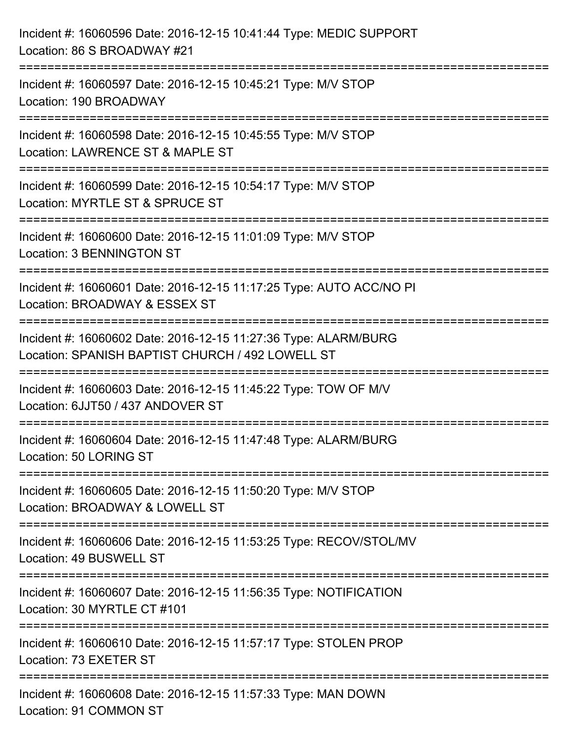| Incident #: 16060596 Date: 2016-12-15 10:41:44 Type: MEDIC SUPPORT<br>Location: 86 S BROADWAY #21                                            |
|----------------------------------------------------------------------------------------------------------------------------------------------|
| =========================<br>Incident #: 16060597 Date: 2016-12-15 10:45:21 Type: M/V STOP<br>Location: 190 BROADWAY                         |
| Incident #: 16060598 Date: 2016-12-15 10:45:55 Type: M/V STOP<br>Location: LAWRENCE ST & MAPLE ST                                            |
| ============================<br>Incident #: 16060599 Date: 2016-12-15 10:54:17 Type: M/V STOP<br>Location: MYRTLE ST & SPRUCE ST             |
| Incident #: 16060600 Date: 2016-12-15 11:01:09 Type: M/V STOP<br><b>Location: 3 BENNINGTON ST</b>                                            |
| ====================================<br>Incident #: 16060601 Date: 2016-12-15 11:17:25 Type: AUTO ACC/NO PI<br>Location: BROADWAY & ESSEX ST |
| Incident #: 16060602 Date: 2016-12-15 11:27:36 Type: ALARM/BURG<br>Location: SPANISH BAPTIST CHURCH / 492 LOWELL ST                          |
| Incident #: 16060603 Date: 2016-12-15 11:45:22 Type: TOW OF M/V<br>Location: 6JJT50 / 437 ANDOVER ST                                         |
| Incident #: 16060604 Date: 2016-12-15 11:47:48 Type: ALARM/BURG<br>Location: 50 LORING ST                                                    |
| Incident #: 16060605 Date: 2016-12-15 11:50:20 Type: M/V STOP<br>Location: BROADWAY & LOWELL ST                                              |
| Incident #: 16060606 Date: 2016-12-15 11:53:25 Type: RECOV/STOL/MV<br>Location: 49 BUSWELL ST                                                |
| Incident #: 16060607 Date: 2016-12-15 11:56:35 Type: NOTIFICATION<br>Location: 30 MYRTLE CT #101                                             |
| Incident #: 16060610 Date: 2016-12-15 11:57:17 Type: STOLEN PROP<br>Location: 73 EXETER ST                                                   |
| Incident #: 16060608 Date: 2016-12-15 11:57:33 Type: MAN DOWN<br>Location: 91 COMMON ST                                                      |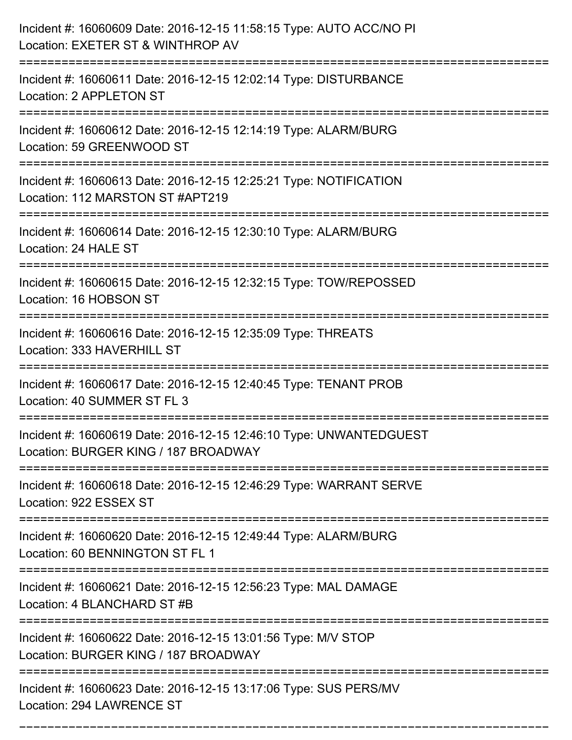| Incident #: 16060609 Date: 2016-12-15 11:58:15 Type: AUTO ACC/NO PI<br>Location: EXETER ST & WINTHROP AV   |
|------------------------------------------------------------------------------------------------------------|
| Incident #: 16060611 Date: 2016-12-15 12:02:14 Type: DISTURBANCE<br>Location: 2 APPLETON ST                |
| Incident #: 16060612 Date: 2016-12-15 12:14:19 Type: ALARM/BURG<br>Location: 59 GREENWOOD ST               |
| Incident #: 16060613 Date: 2016-12-15 12:25:21 Type: NOTIFICATION<br>Location: 112 MARSTON ST #APT219      |
| Incident #: 16060614 Date: 2016-12-15 12:30:10 Type: ALARM/BURG<br>Location: 24 HALE ST                    |
| Incident #: 16060615 Date: 2016-12-15 12:32:15 Type: TOW/REPOSSED<br>Location: 16 HOBSON ST                |
| Incident #: 16060616 Date: 2016-12-15 12:35:09 Type: THREATS<br>Location: 333 HAVERHILL ST                 |
| Incident #: 16060617 Date: 2016-12-15 12:40:45 Type: TENANT PROB<br>Location: 40 SUMMER ST FL 3            |
| Incident #: 16060619 Date: 2016-12-15 12:46:10 Type: UNWANTEDGUEST<br>Location: BURGER KING / 187 BROADWAY |
| Incident #: 16060618 Date: 2016-12-15 12:46:29 Type: WARRANT SERVE<br>Location: 922 ESSEX ST               |
| Incident #: 16060620 Date: 2016-12-15 12:49:44 Type: ALARM/BURG<br>Location: 60 BENNINGTON ST FL 1         |
| Incident #: 16060621 Date: 2016-12-15 12:56:23 Type: MAL DAMAGE<br>Location: 4 BLANCHARD ST #B             |
| Incident #: 16060622 Date: 2016-12-15 13:01:56 Type: M/V STOP<br>Location: BURGER KING / 187 BROADWAY      |
| Incident #: 16060623 Date: 2016-12-15 13:17:06 Type: SUS PERS/MV<br>Location: 294 LAWRENCE ST              |

===========================================================================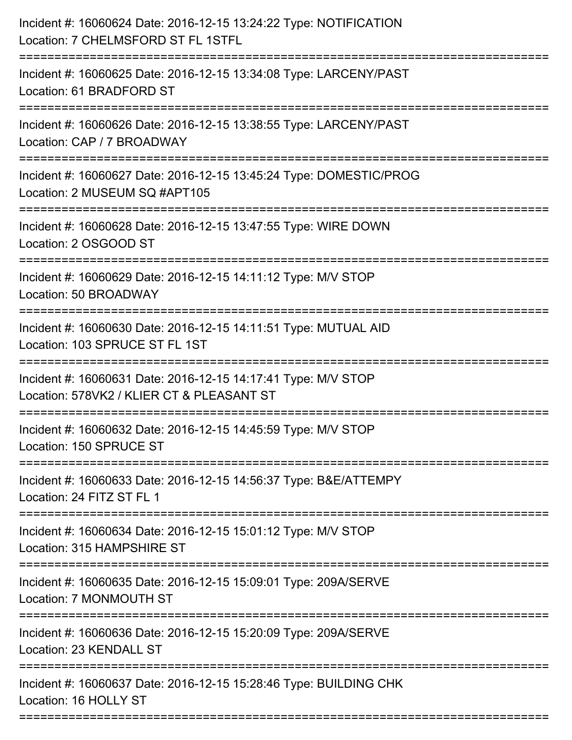| Incident #: 16060624 Date: 2016-12-15 13:24:22 Type: NOTIFICATION<br>Location: 7 CHELMSFORD ST FL 1STFL                  |
|--------------------------------------------------------------------------------------------------------------------------|
| Incident #: 16060625 Date: 2016-12-15 13:34:08 Type: LARCENY/PAST<br>Location: 61 BRADFORD ST                            |
| Incident #: 16060626 Date: 2016-12-15 13:38:55 Type: LARCENY/PAST<br>Location: CAP / 7 BROADWAY<br>--------------------- |
| Incident #: 16060627 Date: 2016-12-15 13:45:24 Type: DOMESTIC/PROG<br>Location: 2 MUSEUM SQ #APT105                      |
| Incident #: 16060628 Date: 2016-12-15 13:47:55 Type: WIRE DOWN<br>Location: 2 OSGOOD ST                                  |
| Incident #: 16060629 Date: 2016-12-15 14:11:12 Type: M/V STOP<br>Location: 50 BROADWAY                                   |
| Incident #: 16060630 Date: 2016-12-15 14:11:51 Type: MUTUAL AID<br>Location: 103 SPRUCE ST FL 1ST                        |
| Incident #: 16060631 Date: 2016-12-15 14:17:41 Type: M/V STOP<br>Location: 578VK2 / KLIER CT & PLEASANT ST               |
| Incident #: 16060632 Date: 2016-12-15 14:45:59 Type: M/V STOP<br>Location: 150 SPRUCE ST                                 |
| Incident #: 16060633 Date: 2016-12-15 14:56:37 Type: B&E/ATTEMPY<br>Location: 24 FITZ ST FL 1                            |
| Incident #: 16060634 Date: 2016-12-15 15:01:12 Type: M/V STOP<br>Location: 315 HAMPSHIRE ST                              |
| Incident #: 16060635 Date: 2016-12-15 15:09:01 Type: 209A/SERVE<br>Location: 7 MONMOUTH ST                               |
| Incident #: 16060636 Date: 2016-12-15 15:20:09 Type: 209A/SERVE<br>Location: 23 KENDALL ST                               |
| Incident #: 16060637 Date: 2016-12-15 15:28:46 Type: BUILDING CHK<br>Location: 16 HOLLY ST                               |
|                                                                                                                          |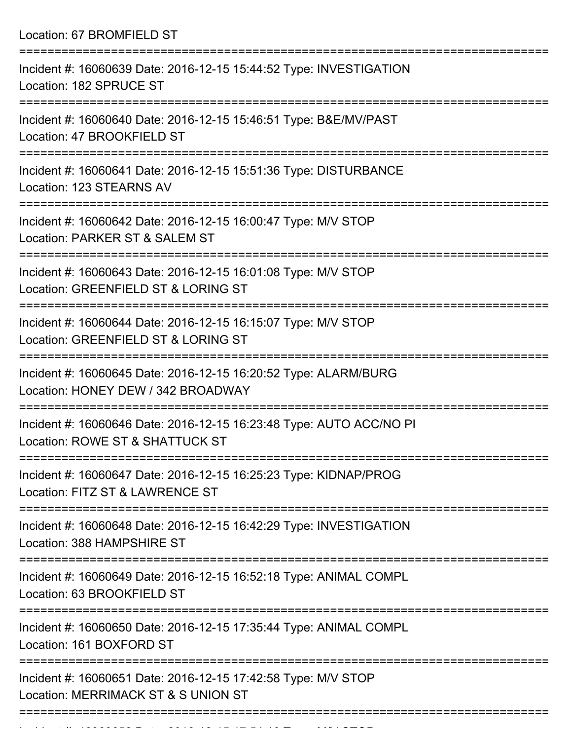Location: 67 BROMFIELD ST

| Incident #: 16060639 Date: 2016-12-15 15:44:52 Type: INVESTIGATION<br>Location: 182 SPRUCE ST          |
|--------------------------------------------------------------------------------------------------------|
| Incident #: 16060640 Date: 2016-12-15 15:46:51 Type: B&E/MV/PAST<br>Location: 47 BROOKFIELD ST         |
| Incident #: 16060641 Date: 2016-12-15 15:51:36 Type: DISTURBANCE<br>Location: 123 STEARNS AV           |
| Incident #: 16060642 Date: 2016-12-15 16:00:47 Type: M/V STOP<br>Location: PARKER ST & SALEM ST        |
| Incident #: 16060643 Date: 2016-12-15 16:01:08 Type: M/V STOP<br>Location: GREENFIELD ST & LORING ST   |
| Incident #: 16060644 Date: 2016-12-15 16:15:07 Type: M/V STOP<br>Location: GREENFIELD ST & LORING ST   |
| Incident #: 16060645 Date: 2016-12-15 16:20:52 Type: ALARM/BURG<br>Location: HONEY DEW / 342 BROADWAY  |
| Incident #: 16060646 Date: 2016-12-15 16:23:48 Type: AUTO ACC/NO PI<br>Location: ROWE ST & SHATTUCK ST |
| Incident #: 16060647 Date: 2016-12-15 16:25:23 Type: KIDNAP/PROG<br>Location: FITZ ST & LAWRENCE ST    |
| Incident #: 16060648 Date: 2016-12-15 16:42:29 Type: INVESTIGATION<br>Location: 388 HAMPSHIRE ST       |
| Incident #: 16060649 Date: 2016-12-15 16:52:18 Type: ANIMAL COMPL<br>Location: 63 BROOKFIELD ST        |
| Incident #: 16060650 Date: 2016-12-15 17:35:44 Type: ANIMAL COMPL<br>Location: 161 BOXFORD ST          |
| Incident #: 16060651 Date: 2016-12-15 17:42:58 Type: M/V STOP<br>Location: MERRIMACK ST & S UNION ST   |
|                                                                                                        |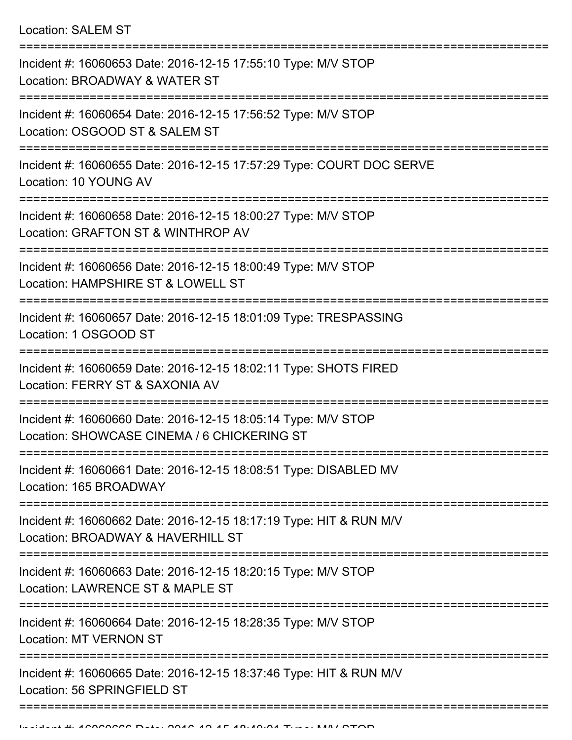Location: SALEM ST

| Incident #: 16060653 Date: 2016-12-15 17:55:10 Type: M/V STOP<br>Location: BROADWAY & WATER ST               |
|--------------------------------------------------------------------------------------------------------------|
| Incident #: 16060654 Date: 2016-12-15 17:56:52 Type: M/V STOP<br>Location: OSGOOD ST & SALEM ST              |
| Incident #: 16060655 Date: 2016-12-15 17:57:29 Type: COURT DOC SERVE<br>Location: 10 YOUNG AV                |
| Incident #: 16060658 Date: 2016-12-15 18:00:27 Type: M/V STOP<br>Location: GRAFTON ST & WINTHROP AV          |
| Incident #: 16060656 Date: 2016-12-15 18:00:49 Type: M/V STOP<br>Location: HAMPSHIRE ST & LOWELL ST          |
| Incident #: 16060657 Date: 2016-12-15 18:01:09 Type: TRESPASSING<br>Location: 1 OSGOOD ST                    |
| Incident #: 16060659 Date: 2016-12-15 18:02:11 Type: SHOTS FIRED<br>Location: FERRY ST & SAXONIA AV          |
| Incident #: 16060660 Date: 2016-12-15 18:05:14 Type: M/V STOP<br>Location: SHOWCASE CINEMA / 6 CHICKERING ST |
| Incident #: 16060661 Date: 2016-12-15 18:08:51 Type: DISABLED MV<br>Location: 165 BROADWAY                   |
| Incident #: 16060662 Date: 2016-12-15 18:17:19 Type: HIT & RUN M/V<br>Location: BROADWAY & HAVERHILL ST      |
| Incident #: 16060663 Date: 2016-12-15 18:20:15 Type: M/V STOP<br>Location: LAWRENCE ST & MAPLE ST            |
| Incident #: 16060664 Date: 2016-12-15 18:28:35 Type: M/V STOP<br><b>Location: MT VERNON ST</b>               |
| Incident #: 16060665 Date: 2016-12-15 18:37:46 Type: HIT & RUN M/V<br>Location: 56 SPRINGFIELD ST            |
|                                                                                                              |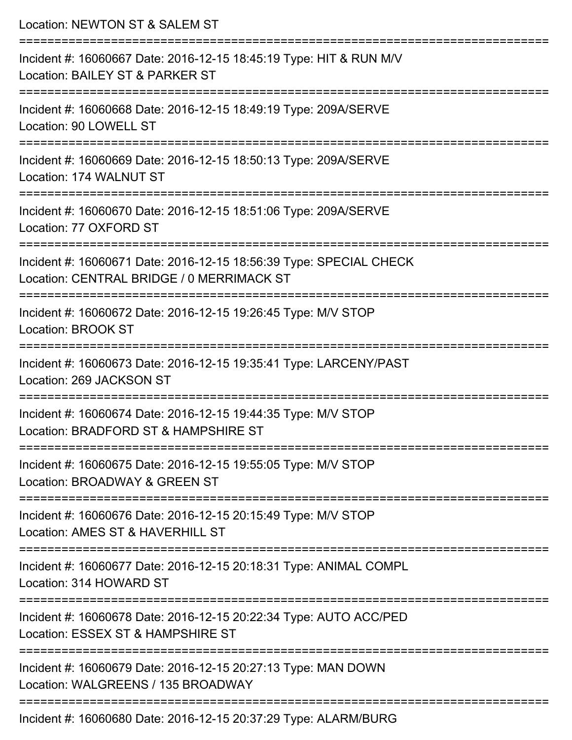| Location: NEWTON ST & SALEM ST                                                                                                   |
|----------------------------------------------------------------------------------------------------------------------------------|
| Incident #: 16060667 Date: 2016-12-15 18:45:19 Type: HIT & RUN M/V<br>Location: BAILEY ST & PARKER ST                            |
| Incident #: 16060668 Date: 2016-12-15 18:49:19 Type: 209A/SERVE<br>Location: 90 LOWELL ST                                        |
| Incident #: 16060669 Date: 2016-12-15 18:50:13 Type: 209A/SERVE<br>Location: 174 WALNUT ST                                       |
| :==================================<br>Incident #: 16060670 Date: 2016-12-15 18:51:06 Type: 209A/SERVE<br>Location: 77 OXFORD ST |
| Incident #: 16060671 Date: 2016-12-15 18:56:39 Type: SPECIAL CHECK<br>Location: CENTRAL BRIDGE / 0 MERRIMACK ST                  |
| Incident #: 16060672 Date: 2016-12-15 19:26:45 Type: M/V STOP<br>Location: BROOK ST                                              |
| Incident #: 16060673 Date: 2016-12-15 19:35:41 Type: LARCENY/PAST<br>Location: 269 JACKSON ST                                    |
| Incident #: 16060674 Date: 2016-12-15 19:44:35 Type: M/V STOP<br>Location: BRADFORD ST & HAMPSHIRE ST                            |
| Incident #: 16060675 Date: 2016-12-15 19:55:05 Type: M/V STOP<br>Location: BROADWAY & GREEN ST                                   |
| Incident #: 16060676 Date: 2016-12-15 20:15:49 Type: M/V STOP<br>Location: AMES ST & HAVERHILL ST                                |
| Incident #: 16060677 Date: 2016-12-15 20:18:31 Type: ANIMAL COMPL<br>Location: 314 HOWARD ST                                     |
| Incident #: 16060678 Date: 2016-12-15 20:22:34 Type: AUTO ACC/PED<br>Location: ESSEX ST & HAMPSHIRE ST                           |
| Incident #: 16060679 Date: 2016-12-15 20:27:13 Type: MAN DOWN<br>Location: WALGREENS / 135 BROADWAY                              |
| Incident #: 16060680 Date: 2016-12-15 20:37:29 Type: ALARM/BURG                                                                  |

Incident #: 16060680 Date: 2016-12-15 20:37:29 Type: ALARM/BURG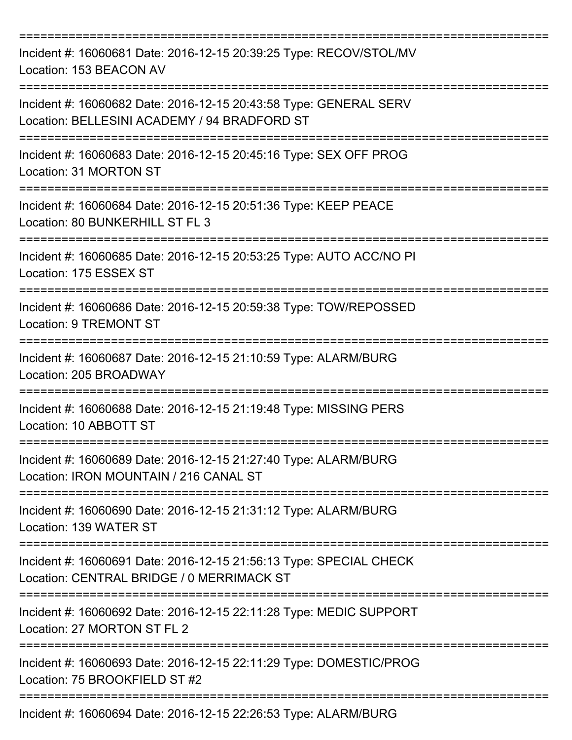| Incident #: 16060681 Date: 2016-12-15 20:39:25 Type: RECOV/STOL/MV<br>Location: 153 BEACON AV                     |
|-------------------------------------------------------------------------------------------------------------------|
| Incident #: 16060682 Date: 2016-12-15 20:43:58 Type: GENERAL SERV<br>Location: BELLESINI ACADEMY / 94 BRADFORD ST |
| Incident #: 16060683 Date: 2016-12-15 20:45:16 Type: SEX OFF PROG<br>Location: 31 MORTON ST                       |
| Incident #: 16060684 Date: 2016-12-15 20:51:36 Type: KEEP PEACE<br>Location: 80 BUNKERHILL ST FL 3                |
| Incident #: 16060685 Date: 2016-12-15 20:53:25 Type: AUTO ACC/NO PI<br>Location: 175 ESSEX ST                     |
| Incident #: 16060686 Date: 2016-12-15 20:59:38 Type: TOW/REPOSSED<br><b>Location: 9 TREMONT ST</b>                |
| Incident #: 16060687 Date: 2016-12-15 21:10:59 Type: ALARM/BURG<br>Location: 205 BROADWAY                         |
| Incident #: 16060688 Date: 2016-12-15 21:19:48 Type: MISSING PERS<br>Location: 10 ABBOTT ST                       |
| Incident #: 16060689 Date: 2016-12-15 21:27:40 Type: ALARM/BURG<br>Location: IRON MOUNTAIN / 216 CANAL ST         |
| Incident #: 16060690 Date: 2016-12-15 21:31:12 Type: ALARM/BURG<br>Location: 139 WATER ST                         |
| Incident #: 16060691 Date: 2016-12-15 21:56:13 Type: SPECIAL CHECK<br>Location: CENTRAL BRIDGE / 0 MERRIMACK ST   |
| Incident #: 16060692 Date: 2016-12-15 22:11:28 Type: MEDIC SUPPORT<br>Location: 27 MORTON ST FL 2                 |
| Incident #: 16060693 Date: 2016-12-15 22:11:29 Type: DOMESTIC/PROG<br>Location: 75 BROOKFIELD ST #2               |
| Incident #: 16060694 Date: 2016-12-15 22:26:53 Type: ALARM/BURG                                                   |